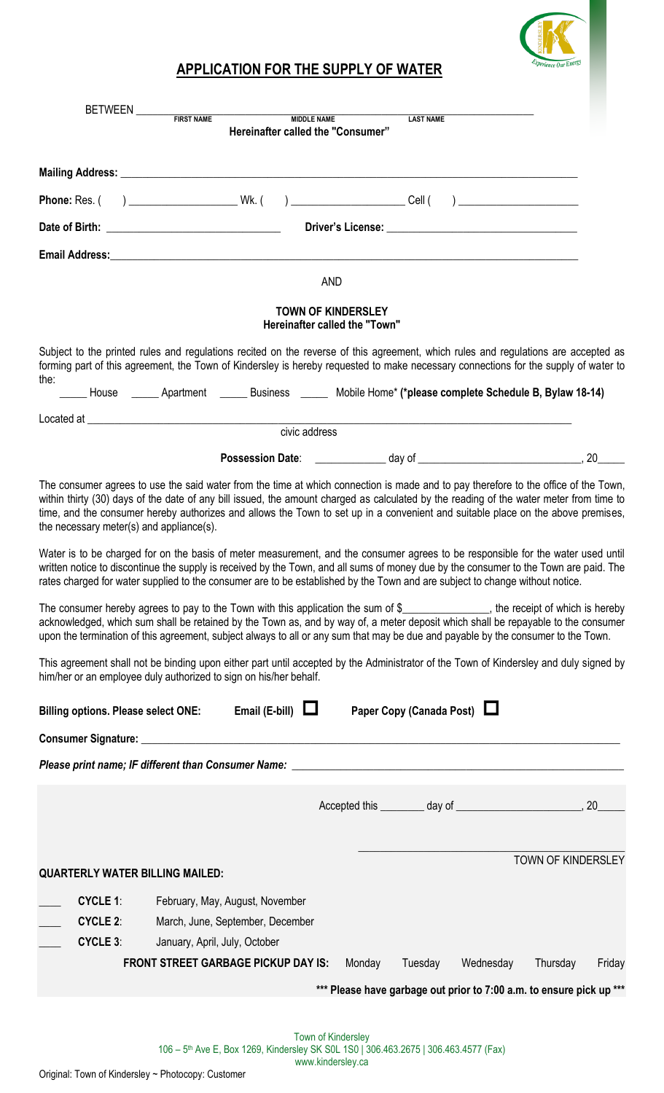

## **APPLICATION FOR THE SUPPLY OF WATER**

| BETWEEN FIRST NAME MIDDLE NAME                                                                                                                                                                              |                                                                                                                                                                                                                                                                                                                                                                                                                                                                                                                                                                                                                                                                                                                                                                                                                                                                                                                                                                                                                                                                                                                                                                                                                                                        |        |
|-------------------------------------------------------------------------------------------------------------------------------------------------------------------------------------------------------------|--------------------------------------------------------------------------------------------------------------------------------------------------------------------------------------------------------------------------------------------------------------------------------------------------------------------------------------------------------------------------------------------------------------------------------------------------------------------------------------------------------------------------------------------------------------------------------------------------------------------------------------------------------------------------------------------------------------------------------------------------------------------------------------------------------------------------------------------------------------------------------------------------------------------------------------------------------------------------------------------------------------------------------------------------------------------------------------------------------------------------------------------------------------------------------------------------------------------------------------------------------|--------|
|                                                                                                                                                                                                             | <b>LAST NAME</b><br>Hereinafter called the "Consumer"                                                                                                                                                                                                                                                                                                                                                                                                                                                                                                                                                                                                                                                                                                                                                                                                                                                                                                                                                                                                                                                                                                                                                                                                  |        |
|                                                                                                                                                                                                             |                                                                                                                                                                                                                                                                                                                                                                                                                                                                                                                                                                                                                                                                                                                                                                                                                                                                                                                                                                                                                                                                                                                                                                                                                                                        |        |
|                                                                                                                                                                                                             |                                                                                                                                                                                                                                                                                                                                                                                                                                                                                                                                                                                                                                                                                                                                                                                                                                                                                                                                                                                                                                                                                                                                                                                                                                                        |        |
|                                                                                                                                                                                                             |                                                                                                                                                                                                                                                                                                                                                                                                                                                                                                                                                                                                                                                                                                                                                                                                                                                                                                                                                                                                                                                                                                                                                                                                                                                        |        |
|                                                                                                                                                                                                             |                                                                                                                                                                                                                                                                                                                                                                                                                                                                                                                                                                                                                                                                                                                                                                                                                                                                                                                                                                                                                                                                                                                                                                                                                                                        |        |
|                                                                                                                                                                                                             | <b>AND</b>                                                                                                                                                                                                                                                                                                                                                                                                                                                                                                                                                                                                                                                                                                                                                                                                                                                                                                                                                                                                                                                                                                                                                                                                                                             |        |
|                                                                                                                                                                                                             | <b>TOWN OF KINDERSLEY</b><br>Hereinafter called the "Town"                                                                                                                                                                                                                                                                                                                                                                                                                                                                                                                                                                                                                                                                                                                                                                                                                                                                                                                                                                                                                                                                                                                                                                                             |        |
|                                                                                                                                                                                                             | Subject to the printed rules and regulations recited on the reverse of this agreement, which rules and regulations are accepted as<br>forming part of this agreement, the Town of Kindersley is hereby requested to make necessary connections for the supply of water to                                                                                                                                                                                                                                                                                                                                                                                                                                                                                                                                                                                                                                                                                                                                                                                                                                                                                                                                                                              |        |
| the:                                                                                                                                                                                                        | House _______ Apartment _______ Business ________ Mobile Home* (*please complete Schedule B, Bylaw 18-14)                                                                                                                                                                                                                                                                                                                                                                                                                                                                                                                                                                                                                                                                                                                                                                                                                                                                                                                                                                                                                                                                                                                                              |        |
|                                                                                                                                                                                                             | civic address                                                                                                                                                                                                                                                                                                                                                                                                                                                                                                                                                                                                                                                                                                                                                                                                                                                                                                                                                                                                                                                                                                                                                                                                                                          |        |
|                                                                                                                                                                                                             |                                                                                                                                                                                                                                                                                                                                                                                                                                                                                                                                                                                                                                                                                                                                                                                                                                                                                                                                                                                                                                                                                                                                                                                                                                                        |        |
| the necessary meter(s) and appliance(s).<br>him/her or an employee duly authorized to sign on his/her behalf.                                                                                               | within thirty (30) days of the date of any bill issued, the amount charged as calculated by the reading of the water meter from time to<br>time, and the consumer hereby authorizes and allows the Town to set up in a convenient and suitable place on the above premises,<br>Water is to be charged for on the basis of meter measurement, and the consumer agrees to be responsible for the water used until<br>written notice to discontinue the supply is received by the Town, and all sums of money due by the consumer to the Town are paid. The<br>rates charged for water supplied to the consumer are to be established by the Town and are subject to change without notice.<br>The consumer hereby agrees to pay to the Town with this application the sum of $\frac{1}{2}$ examples 20 the receipt of which is hereby<br>acknowledged, which sum shall be retained by the Town as, and by way of, a meter deposit which shall be repayable to the consumer<br>upon the termination of this agreement, subject always to all or any sum that may be due and payable by the consumer to the Town.<br>This agreement shall not be binding upon either part until accepted by the Administrator of the Town of Kindersley and duly signed by |        |
| Email (E-bill) $\Box$<br><b>Billing options. Please select ONE:</b>                                                                                                                                         | Paper Copy (Canada Post)                                                                                                                                                                                                                                                                                                                                                                                                                                                                                                                                                                                                                                                                                                                                                                                                                                                                                                                                                                                                                                                                                                                                                                                                                               |        |
|                                                                                                                                                                                                             |                                                                                                                                                                                                                                                                                                                                                                                                                                                                                                                                                                                                                                                                                                                                                                                                                                                                                                                                                                                                                                                                                                                                                                                                                                                        |        |
|                                                                                                                                                                                                             |                                                                                                                                                                                                                                                                                                                                                                                                                                                                                                                                                                                                                                                                                                                                                                                                                                                                                                                                                                                                                                                                                                                                                                                                                                                        |        |
|                                                                                                                                                                                                             |                                                                                                                                                                                                                                                                                                                                                                                                                                                                                                                                                                                                                                                                                                                                                                                                                                                                                                                                                                                                                                                                                                                                                                                                                                                        |        |
| <b>QUARTERLY WATER BILLING MAILED:</b>                                                                                                                                                                      | TOWN OF KINDERSLEY                                                                                                                                                                                                                                                                                                                                                                                                                                                                                                                                                                                                                                                                                                                                                                                                                                                                                                                                                                                                                                                                                                                                                                                                                                     |        |
| <b>CYCLE 1:</b><br>February, May, August, November<br><b>CYCLE 2:</b><br>March, June, September, December<br><b>CYCLE 3:</b><br>January, April, July, October<br><b>FRONT STREET GARBAGE PICKUP DAY IS:</b> | Monday<br>Tuesday<br>Wednesday<br>Thursday                                                                                                                                                                                                                                                                                                                                                                                                                                                                                                                                                                                                                                                                                                                                                                                                                                                                                                                                                                                                                                                                                                                                                                                                             | Friday |
|                                                                                                                                                                                                             | *** Please have garbage out prior to 7:00 a.m. to ensure pick up ***                                                                                                                                                                                                                                                                                                                                                                                                                                                                                                                                                                                                                                                                                                                                                                                                                                                                                                                                                                                                                                                                                                                                                                                   |        |